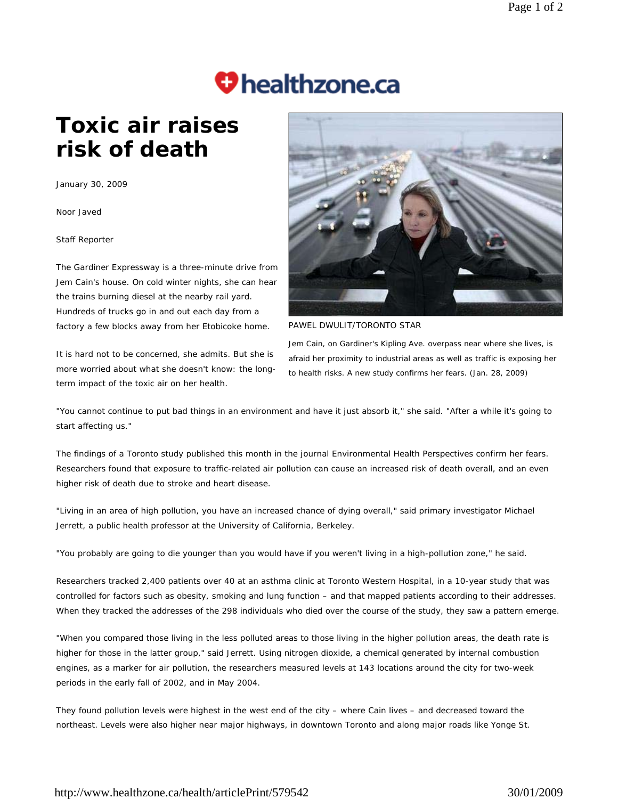## **Thealthzone.ca**

## **Toxic air raises risk of death**

January 30, 2009

Noor Javed

Staff Reporter

The Gardiner Expressway is a three-minute drive from Jem Cain's house. On cold winter nights, she can hear the trains burning diesel at the nearby rail yard. Hundreds of trucks go in and out each day from a factory a few blocks away from her Etobicoke home.

It is hard not to be concerned, she admits. But she is more worried about what she doesn't know: the longterm impact of the toxic air on her health.



PAWEL DWULIT/TORONTO STAR

Jem Cain, on Gardiner's Kipling Ave. overpass near where she lives, is afraid her proximity to industrial areas as well as traffic is exposing her to health risks. A new study confirms her fears. (Jan. 28, 2009)

"You cannot continue to put bad things in an environment and have it just absorb it," she said. "After a while it's going to start affecting us."

The findings of a Toronto study published this month in the journal *Environmental Health Perspectives* confirm her fears. Researchers found that exposure to traffic-related air pollution can cause an increased risk of death overall, and an even higher risk of death due to stroke and heart disease.

"Living in an area of high pollution, you have an increased chance of dying overall," said primary investigator Michael Jerrett, a public health professor at the University of California, Berkeley.

"You probably are going to die younger than you would have if you weren't living in a high-pollution zone," he said.

Researchers tracked 2,400 patients over 40 at an asthma clinic at Toronto Western Hospital, in a 10-year study that was controlled for factors such as obesity, smoking and lung function – and that mapped patients according to their addresses. When they tracked the addresses of the 298 individuals who died over the course of the study, they saw a pattern emerge.

"When you compared those living in the less polluted areas to those living in the higher pollution areas, the death rate is higher for those in the latter group," said Jerrett. Using nitrogen dioxide, a chemical generated by internal combustion engines, as a marker for air pollution, the researchers measured levels at 143 locations around the city for two-week periods in the early fall of 2002, and in May 2004.

They found pollution levels were highest in the west end of the city – where Cain lives – and decreased toward the northeast. Levels were also higher near major highways, in downtown Toronto and along major roads like Yonge St.